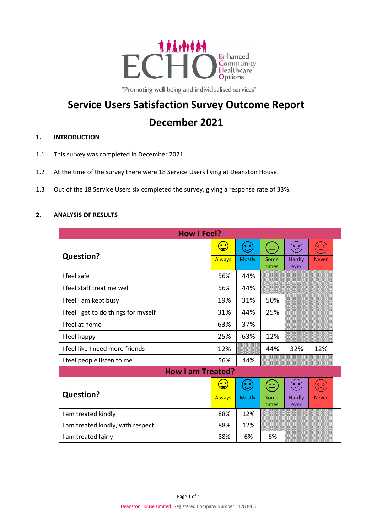

"Promoting well-being and individualised services"

# **Service Users Satisfaction Survey Outcome Report December 2021**

## **1. INTRODUCTION**

- 1.1 This survey was completed in December 2021.
- 1.2 At the time of the survey there were 18 Service Users living at Deanston House.
- 1.3 Out of the 18 Service Users six completed the survey, giving a response rate of 33%.

### **2. ANALYSIS OF RESULTS**

| <b>How I Feel?</b>                   |                                                                    |                                                                    |               |                             |                |  |
|--------------------------------------|--------------------------------------------------------------------|--------------------------------------------------------------------|---------------|-----------------------------|----------------|--|
| <b>Question?</b>                     | $\left(\begin{smallmatrix}\bullet&\bullet\end{smallmatrix}\right)$ | $(\odot)$                                                          | <u>ا دا</u>   | $\stackrel{\circ}{\sim}$    | $O$ $O$        |  |
|                                      | <b>Always</b>                                                      | <b>Mostly</b>                                                      | Some<br>times | Hardly<br>ever              | <b>Never</b>   |  |
| I feel safe                          | 56%                                                                | 44%                                                                |               |                             |                |  |
| I feel staff treat me well           | 56%                                                                | 44%                                                                |               |                             |                |  |
| I feel I am kept busy                | 19%                                                                | 31%                                                                | 50%           |                             |                |  |
| I feel I get to do things for myself | 31%                                                                | 44%                                                                | 25%           |                             |                |  |
| I feel at home                       | 63%                                                                | 37%                                                                |               |                             |                |  |
| I feel happy                         | 25%                                                                | 63%                                                                | 12%           |                             |                |  |
| I feel like I need more friends      | 12%                                                                |                                                                    | 44%           | 32%                         | 12%            |  |
| I feel people listen to me           | 56%                                                                | 44%                                                                |               |                             |                |  |
| <b>How I am Treated?</b>             |                                                                    |                                                                    |               |                             |                |  |
| <b>Question?</b>                     | $\bullet$                                                          | $\left(\begin{smallmatrix}\bullet&\bullet\end{smallmatrix}\right)$ | عد)<br>ا      | $\overset{\circ}{\backsim}$ | 0 <sub>0</sub> |  |
|                                      | <b>Always</b>                                                      | <b>Mostly</b>                                                      | Some<br>times | Hardly<br>ever              | <b>Never</b>   |  |
| I am treated kindly                  | 88%                                                                | 12%                                                                |               |                             |                |  |
| I am treated kindly, with respect    | 88%                                                                | 12%                                                                |               |                             |                |  |
| I am treated fairly                  | 88%                                                                | 6%                                                                 | 6%            |                             |                |  |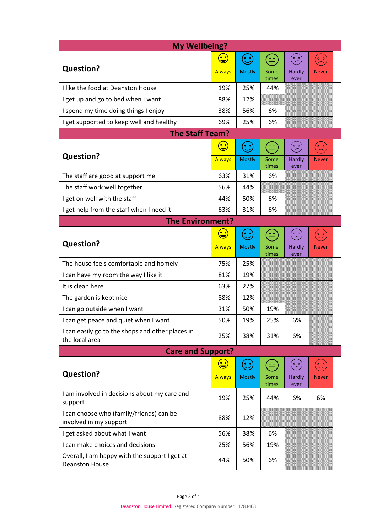| <b>My Wellbeing?</b>                                                   |                |                      |               |                             |                                     |
|------------------------------------------------------------------------|----------------|----------------------|---------------|-----------------------------|-------------------------------------|
|                                                                        | $\bigcirc$     | $(\ddot{\ddotsc})$   |               | $\overset{\circ}{\sim}$     | $\circ$ $\circ$                     |
| <b>Question?</b>                                                       | <b>Always</b>  | <b>Mostly</b>        | Some<br>times | Hardly<br>ever              | <b>Never</b>                        |
| I like the food at Deanston House                                      | 19%            | 25%                  | 44%           |                             |                                     |
| I get up and go to bed when I want                                     | 88%            | 12%                  |               |                             |                                     |
| I spend my time doing things I enjoy                                   | 38%            | 56%                  | 6%            |                             |                                     |
| I get supported to keep well and healthy                               | 69%            | 25%                  | 6%            |                             |                                     |
| <b>The Staff Team?</b>                                                 |                |                      |               |                             |                                     |
|                                                                        | $\bf \bigcirc$ | $\mathbf{(\cdot)}$   | 노             | $\overset{\circ}{\backsim}$ | $\overset{\circ}{\curvearrowright}$ |
| <b>Question?</b>                                                       | <b>Always</b>  | <b>Mostly</b>        | Some<br>times | <b>Hardly</b><br>ever       | <b>Never</b>                        |
| The staff are good at support me                                       | 63%            | 31%                  | 6%            |                             |                                     |
| The staff work well together                                           | 56%            | 44%                  |               |                             |                                     |
| I get on well with the staff                                           | 44%            | 50%                  | 6%            |                             |                                     |
| I get help from the staff when I need it                               | 63%            | 31%                  | 6%            |                             |                                     |
| <b>The Environment?</b>                                                |                |                      |               |                             |                                     |
|                                                                        | $\bf \bigcirc$ | $\odot$              | $\equiv$      | $\overset{\circ}{\sim}$     | $\overset{\circ}{\curvearrowright}$ |
| <b>Question?</b>                                                       | <b>Always</b>  | <b>Mostly</b>        | Some<br>times | Hardly<br>ever              | <b>Never</b>                        |
| The house feels comfortable and homely                                 | 75%            | 25%                  |               |                             |                                     |
| I can have my room the way I like it                                   | 81%            | 19%                  |               |                             |                                     |
| It is clean here                                                       | 63%            | 27%                  |               |                             |                                     |
| The garden is kept nice                                                | 88%            | 12%                  |               |                             |                                     |
| I can go outside when I want                                           | 31%            | 50%                  | 19%           |                             |                                     |
| I can get peace and quiet when I want                                  | 50%            | 19%                  | 25%           | 6%                          |                                     |
| I can easily go to the shops and other places in<br>the local area     | 25%            | 38%                  | 31%           | 6%                          |                                     |
| <b>Care and Support?</b>                                               |                |                      |               |                             |                                     |
|                                                                        | $\bf \bigcirc$ | $(\dot{\mathbb{C}})$ | $=$           | (。。<br>( 一 )                | $\frac{1}{2}$                       |
| <b>Question?</b>                                                       | <b>Always</b>  | <b>Mostly</b>        | Some<br>times | <b>Hardly</b><br>ever       | <b>Never</b>                        |
| I am involved in decisions about my care and<br>support                | 19%            | 25%                  | 44%           | 6%                          | 6%                                  |
| I can choose who (family/friends) can be<br>involved in my support     | 88%            | 12%                  |               |                             |                                     |
| I get asked about what I want                                          | 56%            | 38%                  | 6%            |                             |                                     |
| I can make choices and decisions                                       | 25%            | 56%                  | 19%           |                             |                                     |
| Overall, I am happy with the support I get at<br><b>Deanston House</b> | 44%            | 50%                  | 6%            |                             |                                     |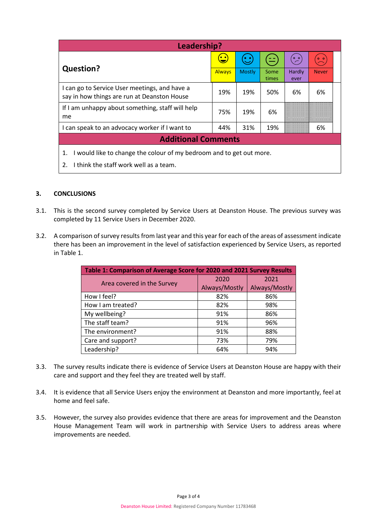| Leadership?                                                                                  |                                    |                    |               |                           |                 |  |
|----------------------------------------------------------------------------------------------|------------------------------------|--------------------|---------------|---------------------------|-----------------|--|
| <b>Question?</b>                                                                             | $\left(\frac{\cdot}{\cdot}\right)$ | $\mathbf{\hat{c}}$ | (ص            | $\overset{\circ}{\angle}$ | $\circ$ $\circ$ |  |
|                                                                                              | <b>Always</b>                      | <b>Mostly</b>      | Some<br>times | Hardly<br>ever            | <b>Never</b>    |  |
| I can go to Service User meetings, and have a<br>say in how things are run at Deanston House | 19%                                | 19%                | 50%           | 6%                        | 6%              |  |
| If I am unhappy about something, staff will help<br>me                                       | 75%                                | 19%                | 6%            |                           |                 |  |
| I can speak to an advocacy worker if I want to                                               | 44%                                | 31%                | 19%           |                           | 6%              |  |
| <b>Additional Comments</b>                                                                   |                                    |                    |               |                           |                 |  |
| I would like to change the colour of my bedroom and to get out more.<br>1.                   |                                    |                    |               |                           |                 |  |

2. I think the staff work well as a team.

### **3. CONCLUSIONS**

- 3.1. This is the second survey completed by Service Users at Deanston House. The previous survey was completed by 11 Service Users in December 2020.
- 3.2. A comparison of survey results from last year and this year for each of the areas of assessment indicate there has been an improvement in the level of satisfaction experienced by Service Users, as reported in Table 1.

| Table 1: Comparison of Average Score for 2020 and 2021 Survey Results |               |               |  |  |  |
|-----------------------------------------------------------------------|---------------|---------------|--|--|--|
| Area covered in the Survey                                            | 2020          | 2021          |  |  |  |
|                                                                       | Always/Mostly | Always/Mostly |  |  |  |
| How I feel?                                                           | 82%           | 86%           |  |  |  |
| How I am treated?                                                     | 82%           | 98%           |  |  |  |
| My wellbeing?                                                         | 91%           | 86%           |  |  |  |
| The staff team?                                                       | 91%           | 96%           |  |  |  |
| The environment?                                                      | 91%           | 88%           |  |  |  |
| Care and support?                                                     | 73%           | 79%           |  |  |  |
| Leadership?                                                           | 64%           | 94%           |  |  |  |

- 3.3. The survey results indicate there is evidence of Service Users at Deanston House are happy with their care and support and they feel they are treated well by staff.
- 3.4. It is evidence that all Service Users enjoy the environment at Deanston and more importantly, feel at home and feel safe.
- 3.5. However, the survey also provides evidence that there are areas for improvement and the Deanston House Management Team will work in partnership with Service Users to address areas where improvements are needed.